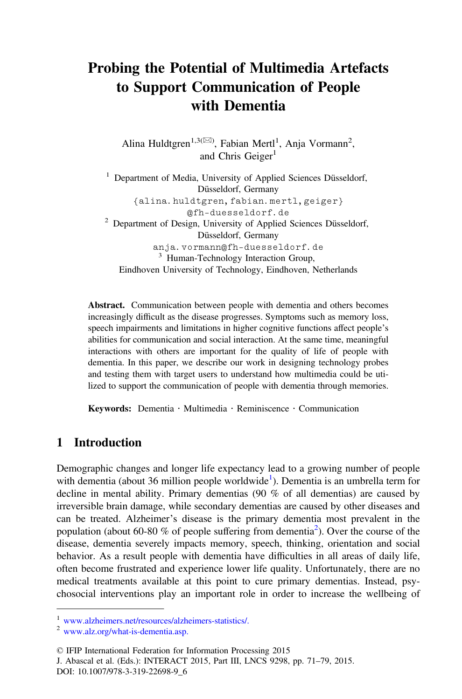# Probing the Potential of Multimedia Artefacts to Support Communication of People with Dementia

Alina Huldtgren<sup>1,3( $\boxtimes$ )</sup>, Fabian Mertl<sup>1</sup>, Anja Vormann<sup>2</sup>, and Chris Geiger<sup>1</sup>

<sup>1</sup> Department of Media, University of Applied Sciences Düsseldorf, Düsseldorf, Germany {alina.huldtgren,fabian.mertl,geiger} @fh-duesseldorf.de 2 Department of Design, University of Applied Sciences Düsseldorf, Düsseldorf, Germany anja.vormann@fh-duesseldorf.de <sup>3</sup> Human-Technology Interaction Group, Eindhoven University of Technology, Eindhoven, Netherlands

Abstract. Communication between people with dementia and others becomes increasingly difficult as the disease progresses. Symptoms such as memory loss, speech impairments and limitations in higher cognitive functions affect people's abilities for communication and social interaction. At the same time, meaningful interactions with others are important for the quality of life of people with dementia. In this paper, we describe our work in designing technology probes and testing them with target users to understand how multimedia could be utilized to support the communication of people with dementia through memories.

Keywords: Dementia · Multimedia · Reminiscence · Communication

## 1 Introduction

Demographic changes and longer life expectancy lead to a growing number of people with dementia (about 36 million people worldwide<sup>1</sup>). Dementia is an umbrella term for decline in mental ability. Primary dementias (90 % of all dementias) are caused by irreversible brain damage, while secondary dementias are caused by other diseases and can be treated. Alzheimer's disease is the primary dementia most prevalent in the population (about 60-80 % of people suffering from dementia<sup>2</sup>). Over the course of the disease, dementia severely impacts memory, speech, thinking, orientation and social behavior. As a result people with dementia have difficulties in all areas of daily life, often become frustrated and experience lower life quality. Unfortunately, there are no medical treatments available at this point to cure primary dementias. Instead, psychosocial interventions play an important role in order to increase the wellbeing of

<sup>1</sup> [www.alzheimers.net/resources/alzheimers-statistics/.](http://www.alzheimers.net/resources/alzheimers-statistics/) <sup>2</sup> [www.alz.org/what-is-dementia.asp.](http://www.alz.org/what-is-dementia.asp)

<sup>©</sup> IFIP International Federation for Information Processing 2015

J. Abascal et al. (Eds.): INTERACT 2015, Part III, LNCS 9298, pp. 71–79, 2015. DOI: 10.1007/978-3-319-22698-9\_6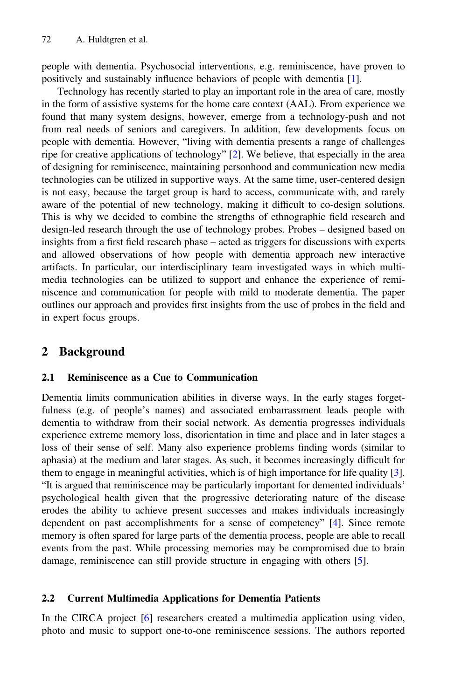people with dementia. Psychosocial interventions, e.g. reminiscence, have proven to positively and sustainably influence behaviors of people with dementia [[1\]](#page-7-0).

Technology has recently started to play an important role in the area of care, mostly in the form of assistive systems for the home care context (AAL). From experience we found that many system designs, however, emerge from a technology-push and not from real needs of seniors and caregivers. In addition, few developments focus on people with dementia. However, "living with dementia presents a range of challenges ripe for creative applications of technology" [\[2](#page-7-0)]. We believe, that especially in the area of designing for reminiscence, maintaining personhood and communication new media technologies can be utilized in supportive ways. At the same time, user-centered design is not easy, because the target group is hard to access, communicate with, and rarely aware of the potential of new technology, making it difficult to co-design solutions. This is why we decided to combine the strengths of ethnographic field research and design-led research through the use of technology probes. Probes – designed based on insights from a first field research phase – acted as triggers for discussions with experts and allowed observations of how people with dementia approach new interactive artifacts. In particular, our interdisciplinary team investigated ways in which multimedia technologies can be utilized to support and enhance the experience of reminiscence and communication for people with mild to moderate dementia. The paper outlines our approach and provides first insights from the use of probes in the field and in expert focus groups.

## 2 Background

#### 2.1 Reminiscence as a Cue to Communication

Dementia limits communication abilities in diverse ways. In the early stages forgetfulness (e.g. of people's names) and associated embarrassment leads people with dementia to withdraw from their social network. As dementia progresses individuals experience extreme memory loss, disorientation in time and place and in later stages a loss of their sense of self. Many also experience problems finding words (similar to aphasia) at the medium and later stages. As such, it becomes increasingly difficult for them to engage in meaningful activities, which is of high importance for life quality [[3\]](#page-7-0). "It is argued that reminiscence may be particularly important for demented individuals' psychological health given that the progressive deteriorating nature of the disease erodes the ability to achieve present successes and makes individuals increasingly dependent on past accomplishments for a sense of competency" [\[4](#page-7-0)]. Since remote memory is often spared for large parts of the dementia process, people are able to recall events from the past. While processing memories may be compromised due to brain damage, reminiscence can still provide structure in engaging with others [\[5](#page-7-0)].

### 2.2 Current Multimedia Applications for Dementia Patients

In the CIRCA project [\[6](#page-7-0)] researchers created a multimedia application using video, photo and music to support one-to-one reminiscence sessions. The authors reported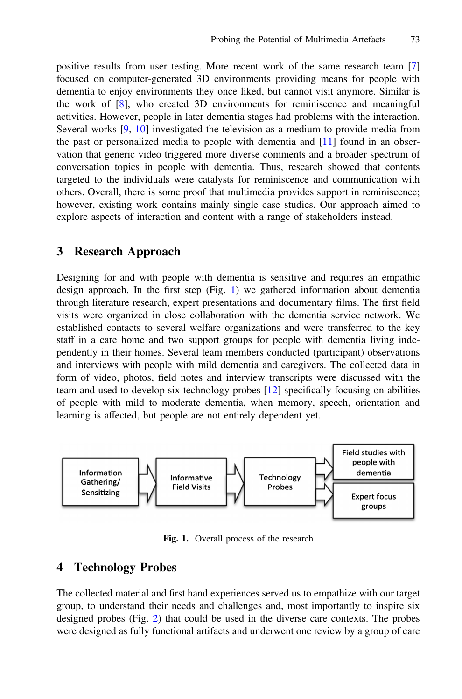positive results from user testing. More recent work of the same research team [\[7](#page-7-0)] focused on computer-generated 3D environments providing means for people with dementia to enjoy environments they once liked, but cannot visit anymore. Similar is the work of [\[8](#page-7-0)], who created 3D environments for reminiscence and meaningful activities. However, people in later dementia stages had problems with the interaction. Several works [[9,](#page-7-0) [10](#page-7-0)] investigated the television as a medium to provide media from the past or personalized media to people with dementia and [[11\]](#page-7-0) found in an observation that generic video triggered more diverse comments and a broader spectrum of conversation topics in people with dementia. Thus, research showed that contents targeted to the individuals were catalysts for reminiscence and communication with others. Overall, there is some proof that multimedia provides support in reminiscence; however, existing work contains mainly single case studies. Our approach aimed to explore aspects of interaction and content with a range of stakeholders instead.

#### 3 Research Approach

Designing for and with people with dementia is sensitive and requires an empathic design approach. In the first step (Fig. 1) we gathered information about dementia through literature research, expert presentations and documentary films. The first field visits were organized in close collaboration with the dementia service network. We established contacts to several welfare organizations and were transferred to the key staff in a care home and two support groups for people with dementia living independently in their homes. Several team members conducted (participant) observations and interviews with people with mild dementia and caregivers. The collected data in form of video, photos, field notes and interview transcripts were discussed with the team and used to develop six technology probes [\[12](#page-8-0)] specifically focusing on abilities of people with mild to moderate dementia, when memory, speech, orientation and learning is affected, but people are not entirely dependent yet.



Fig. 1. Overall process of the research

#### 4 Technology Probes

The collected material and first hand experiences served us to empathize with our target group, to understand their needs and challenges and, most importantly to inspire six designed probes (Fig. [2](#page-3-0)) that could be used in the diverse care contexts. The probes were designed as fully functional artifacts and underwent one review by a group of care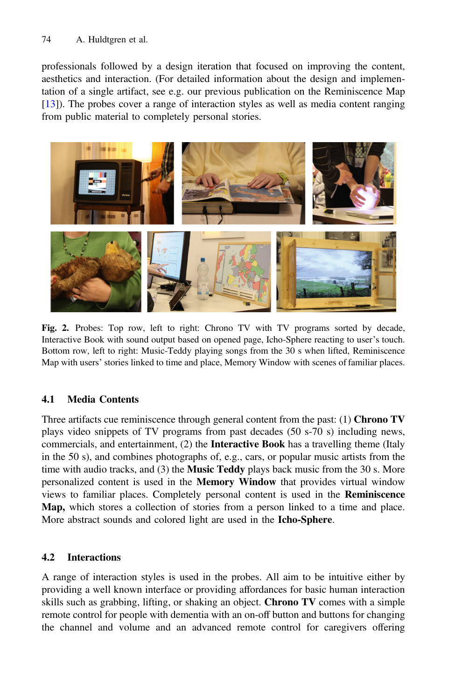<span id="page-3-0"></span>professionals followed by a design iteration that focused on improving the content, aesthetics and interaction. (For detailed information about the design and implementation of a single artifact, see e.g. our previous publication on the Reminiscence Map [[13\]](#page-8-0)). The probes cover a range of interaction styles as well as media content ranging from public material to completely personal stories.



Fig. 2. Probes: Top row, left to right: Chrono TV with TV programs sorted by decade, Interactive Book with sound output based on opened page, Icho-Sphere reacting to user's touch. Bottom row, left to right: Music-Teddy playing songs from the 30 s when lifted, Reminiscence Map with users' stories linked to time and place, Memory Window with scenes of familiar places.

## 4.1 Media Contents

Three artifacts cue reminiscence through general content from the past: (1) Chrono TV plays video snippets of TV programs from past decades (50 s-70 s) including news, commercials, and entertainment, (2) the Interactive Book has a travelling theme (Italy in the 50 s), and combines photographs of, e.g., cars, or popular music artists from the time with audio tracks, and (3) the **Music Teddy** plays back music from the 30 s. More personalized content is used in the Memory Window that provides virtual window views to familiar places. Completely personal content is used in the Reminiscence Map, which stores a collection of stories from a person linked to a time and place. More abstract sounds and colored light are used in the Icho-Sphere.

### 4.2 Interactions

A range of interaction styles is used in the probes. All aim to be intuitive either by providing a well known interface or providing affordances for basic human interaction skills such as grabbing, lifting, or shaking an object. Chrono TV comes with a simple remote control for people with dementia with an on-off button and buttons for changing the channel and volume and an advanced remote control for caregivers offering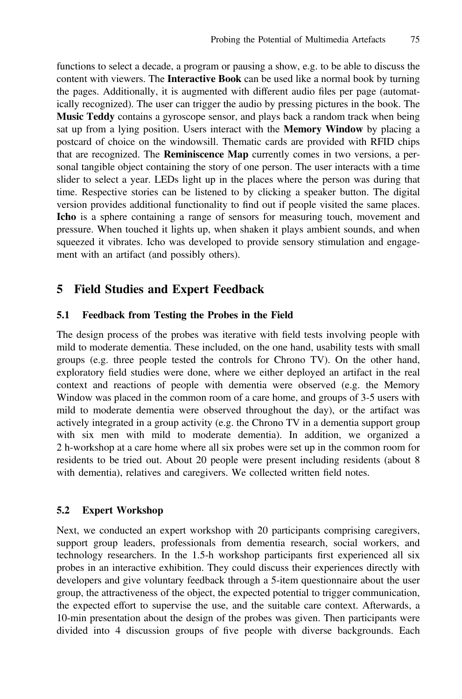functions to select a decade, a program or pausing a show, e.g. to be able to discuss the content with viewers. The Interactive Book can be used like a normal book by turning the pages. Additionally, it is augmented with different audio files per page (automatically recognized). The user can trigger the audio by pressing pictures in the book. The Music Teddy contains a gyroscope sensor, and plays back a random track when being sat up from a lying position. Users interact with the Memory Window by placing a postcard of choice on the windowsill. Thematic cards are provided with RFID chips that are recognized. The Reminiscence Map currently comes in two versions, a personal tangible object containing the story of one person. The user interacts with a time slider to select a year. LEDs light up in the places where the person was during that time. Respective stories can be listened to by clicking a speaker button. The digital version provides additional functionality to find out if people visited the same places. Icho is a sphere containing a range of sensors for measuring touch, movement and pressure. When touched it lights up, when shaken it plays ambient sounds, and when squeezed it vibrates. Icho was developed to provide sensory stimulation and engagement with an artifact (and possibly others).

### 5 Field Studies and Expert Feedback

#### 5.1 Feedback from Testing the Probes in the Field

The design process of the probes was iterative with field tests involving people with mild to moderate dementia. These included, on the one hand, usability tests with small groups (e.g. three people tested the controls for Chrono TV). On the other hand, exploratory field studies were done, where we either deployed an artifact in the real context and reactions of people with dementia were observed (e.g. the Memory Window was placed in the common room of a care home, and groups of 3-5 users with mild to moderate dementia were observed throughout the day), or the artifact was actively integrated in a group activity (e.g. the Chrono TV in a dementia support group with six men with mild to moderate dementia). In addition, we organized a 2 h-workshop at a care home where all six probes were set up in the common room for residents to be tried out. About 20 people were present including residents (about 8 with dementia), relatives and caregivers. We collected written field notes.

#### 5.2 Expert Workshop

Next, we conducted an expert workshop with 20 participants comprising caregivers, support group leaders, professionals from dementia research, social workers, and technology researchers. In the 1.5-h workshop participants first experienced all six probes in an interactive exhibition. They could discuss their experiences directly with developers and give voluntary feedback through a 5-item questionnaire about the user group, the attractiveness of the object, the expected potential to trigger communication, the expected effort to supervise the use, and the suitable care context. Afterwards, a 10-min presentation about the design of the probes was given. Then participants were divided into 4 discussion groups of five people with diverse backgrounds. Each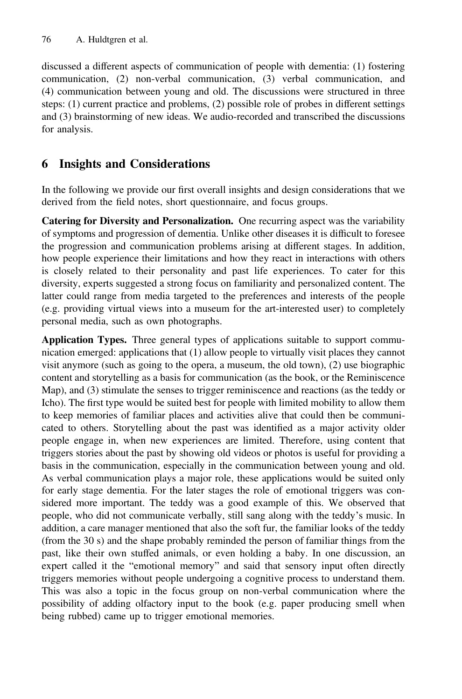discussed a different aspects of communication of people with dementia: (1) fostering communication, (2) non-verbal communication, (3) verbal communication, and (4) communication between young and old. The discussions were structured in three steps: (1) current practice and problems, (2) possible role of probes in different settings and (3) brainstorming of new ideas. We audio-recorded and transcribed the discussions for analysis.

# 6 Insights and Considerations

In the following we provide our first overall insights and design considerations that we derived from the field notes, short questionnaire, and focus groups.

Catering for Diversity and Personalization. One recurring aspect was the variability of symptoms and progression of dementia. Unlike other diseases it is difficult to foresee the progression and communication problems arising at different stages. In addition, how people experience their limitations and how they react in interactions with others is closely related to their personality and past life experiences. To cater for this diversity, experts suggested a strong focus on familiarity and personalized content. The latter could range from media targeted to the preferences and interests of the people (e.g. providing virtual views into a museum for the art-interested user) to completely personal media, such as own photographs.

Application Types. Three general types of applications suitable to support communication emerged: applications that (1) allow people to virtually visit places they cannot visit anymore (such as going to the opera, a museum, the old town), (2) use biographic content and storytelling as a basis for communication (as the book, or the Reminiscence Map), and (3) stimulate the senses to trigger reminiscence and reactions (as the teddy or Icho). The first type would be suited best for people with limited mobility to allow them to keep memories of familiar places and activities alive that could then be communicated to others. Storytelling about the past was identified as a major activity older people engage in, when new experiences are limited. Therefore, using content that triggers stories about the past by showing old videos or photos is useful for providing a basis in the communication, especially in the communication between young and old. As verbal communication plays a major role, these applications would be suited only for early stage dementia. For the later stages the role of emotional triggers was considered more important. The teddy was a good example of this. We observed that people, who did not communicate verbally, still sang along with the teddy's music. In addition, a care manager mentioned that also the soft fur, the familiar looks of the teddy (from the 30 s) and the shape probably reminded the person of familiar things from the past, like their own stuffed animals, or even holding a baby. In one discussion, an expert called it the "emotional memory" and said that sensory input often directly triggers memories without people undergoing a cognitive process to understand them. This was also a topic in the focus group on non-verbal communication where the possibility of adding olfactory input to the book (e.g. paper producing smell when being rubbed) came up to trigger emotional memories.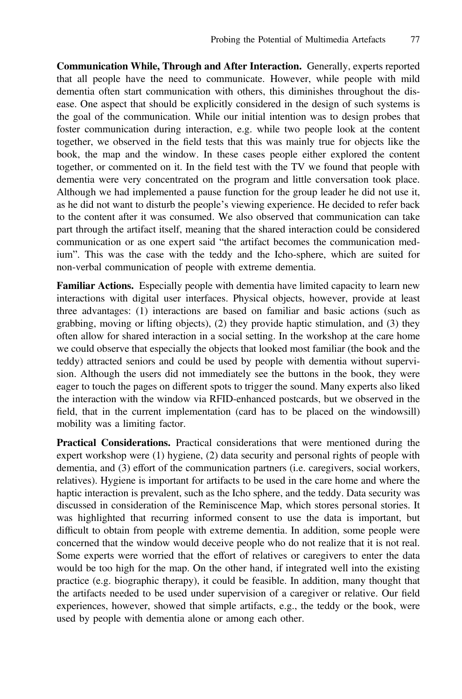Communication While, Through and After Interaction. Generally, experts reported that all people have the need to communicate. However, while people with mild dementia often start communication with others, this diminishes throughout the disease. One aspect that should be explicitly considered in the design of such systems is the goal of the communication. While our initial intention was to design probes that foster communication during interaction, e.g. while two people look at the content together, we observed in the field tests that this was mainly true for objects like the book, the map and the window. In these cases people either explored the content together, or commented on it. In the field test with the TV we found that people with dementia were very concentrated on the program and little conversation took place. Although we had implemented a pause function for the group leader he did not use it, as he did not want to disturb the people's viewing experience. He decided to refer back to the content after it was consumed. We also observed that communication can take part through the artifact itself, meaning that the shared interaction could be considered communication or as one expert said "the artifact becomes the communication medium". This was the case with the teddy and the Icho-sphere, which are suited for non-verbal communication of people with extreme dementia.

Familiar Actions. Especially people with dementia have limited capacity to learn new interactions with digital user interfaces. Physical objects, however, provide at least three advantages: (1) interactions are based on familiar and basic actions (such as grabbing, moving or lifting objects), (2) they provide haptic stimulation, and (3) they often allow for shared interaction in a social setting. In the workshop at the care home we could observe that especially the objects that looked most familiar (the book and the teddy) attracted seniors and could be used by people with dementia without supervision. Although the users did not immediately see the buttons in the book, they were eager to touch the pages on different spots to trigger the sound. Many experts also liked the interaction with the window via RFID-enhanced postcards, but we observed in the field, that in the current implementation (card has to be placed on the windowsill) mobility was a limiting factor.

Practical Considerations. Practical considerations that were mentioned during the expert workshop were (1) hygiene, (2) data security and personal rights of people with dementia, and (3) effort of the communication partners (i.e. caregivers, social workers, relatives). Hygiene is important for artifacts to be used in the care home and where the haptic interaction is prevalent, such as the Icho sphere, and the teddy. Data security was discussed in consideration of the Reminiscence Map, which stores personal stories. It was highlighted that recurring informed consent to use the data is important, but difficult to obtain from people with extreme dementia. In addition, some people were concerned that the window would deceive people who do not realize that it is not real. Some experts were worried that the effort of relatives or caregivers to enter the data would be too high for the map. On the other hand, if integrated well into the existing practice (e.g. biographic therapy), it could be feasible. In addition, many thought that the artifacts needed to be used under supervision of a caregiver or relative. Our field experiences, however, showed that simple artifacts, e.g., the teddy or the book, were used by people with dementia alone or among each other.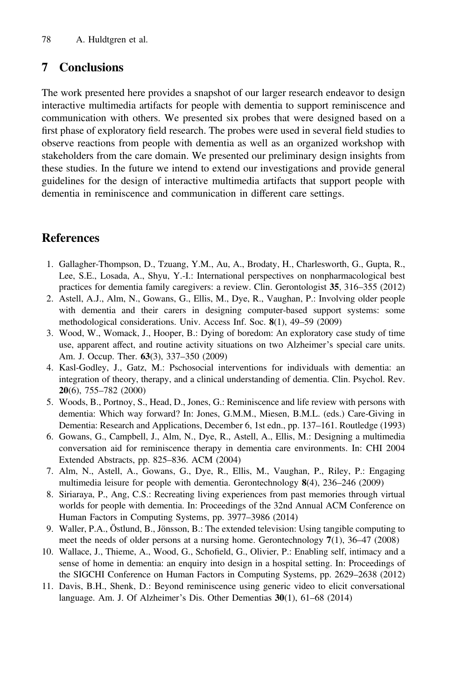## <span id="page-7-0"></span>7 Conclusions

The work presented here provides a snapshot of our larger research endeavor to design interactive multimedia artifacts for people with dementia to support reminiscence and communication with others. We presented six probes that were designed based on a first phase of exploratory field research. The probes were used in several field studies to observe reactions from people with dementia as well as an organized workshop with stakeholders from the care domain. We presented our preliminary design insights from these studies. In the future we intend to extend our investigations and provide general guidelines for the design of interactive multimedia artifacts that support people with dementia in reminiscence and communication in different care settings.

## **References**

- 1. Gallagher-Thompson, D., Tzuang, Y.M., Au, A., Brodaty, H., Charlesworth, G., Gupta, R., Lee, S.E., Losada, A., Shyu, Y.-I.: International perspectives on nonpharmacological best practices for dementia family caregivers: a review. Clin. Gerontologist 35, 316–355 (2012)
- 2. Astell, A.J., Alm, N., Gowans, G., Ellis, M., Dye, R., Vaughan, P.: Involving older people with dementia and their carers in designing computer-based support systems: some methodological considerations. Univ. Access Inf. Soc. 8(1), 49–59 (2009)
- 3. Wood, W., Womack, J., Hooper, B.: Dying of boredom: An exploratory case study of time use, apparent affect, and routine activity situations on two Alzheimer's special care units. Am. J. Occup. Ther. 63(3), 337–350 (2009)
- 4. Kasl-Godley, J., Gatz, M.: Pschosocial interventions for individuals with dementia: an integration of theory, therapy, and a clinical understanding of dementia. Clin. Psychol. Rev. 20(6), 755–782 (2000)
- 5. Woods, B., Portnoy, S., Head, D., Jones, G.: Reminiscence and life review with persons with dementia: Which way forward? In: Jones, G.M.M., Miesen, B.M.L. (eds.) Care-Giving in Dementia: Research and Applications, December 6, 1st edn., pp. 137–161. Routledge (1993)
- 6. Gowans, G., Campbell, J., Alm, N., Dye, R., Astell, A., Ellis, M.: Designing a multimedia conversation aid for reminiscence therapy in dementia care environments. In: CHI 2004 Extended Abstracts, pp. 825–836. ACM (2004)
- 7. Alm, N., Astell, A., Gowans, G., Dye, R., Ellis, M., Vaughan, P., Riley, P.: Engaging multimedia leisure for people with dementia. Gerontechnology 8(4), 236–246 (2009)
- 8. Siriaraya, P., Ang, C.S.: Recreating living experiences from past memories through virtual worlds for people with dementia. In: Proceedings of the 32nd Annual ACM Conference on Human Factors in Computing Systems, pp. 3977–3986 (2014)
- 9. Waller, P.A., Östlund, B., Jönsson, B.: The extended television: Using tangible computing to meet the needs of older persons at a nursing home. Gerontechnology 7(1), 36–47 (2008)
- 10. Wallace, J., Thieme, A., Wood, G., Schofield, G., Olivier, P.: Enabling self, intimacy and a sense of home in dementia: an enquiry into design in a hospital setting. In: Proceedings of the SIGCHI Conference on Human Factors in Computing Systems, pp. 2629–2638 (2012)
- 11. Davis, B.H., Shenk, D.: Beyond reminiscence using generic video to elicit conversational language. Am. J. Of Alzheimer's Dis. Other Dementias 30(1), 61–68 (2014)